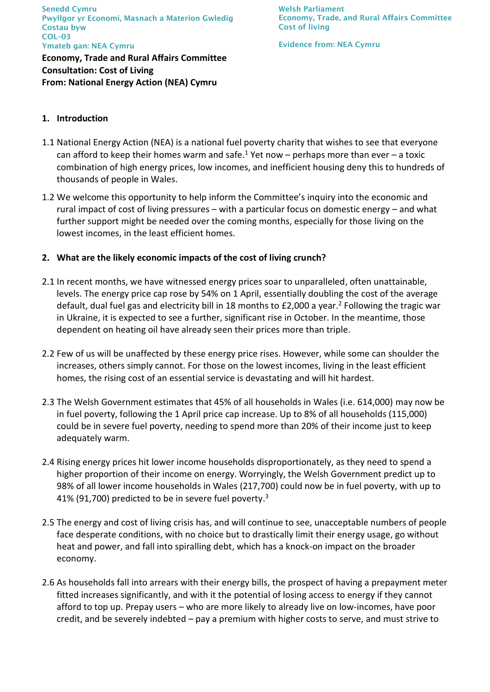Senedd Cymru Pwyllgor yr Economi, Masnach a Materion Gwledig Costau byw COL–03 Ymateb gan: NEA Cymru

**Economy, Trade and Rural Affairs Committee Consultation: Cost of Living From: National Energy Action (NEA) Cymru** 

Welsh Parliament Economy, Trade, and Rural Affairs Committee Cost of living

Evidence from: NEA Cymru

# **1. Introduction**

- 1.1 National Energy Action (NEA) is a national fuel poverty charity that wishes to see that everyone can afford to keep their homes warm and safe.<sup>1</sup> Yet now – perhaps more than ever – a toxic combination of high energy prices, low incomes, and inefficient housing deny this to hundreds of thousands of people in Wales.
- 1.2 We welcome this opportunity to help inform the Committee's inquiry into the economic and rural impact of cost of living pressures – with a particular focus on domestic energy – and what further support might be needed over the coming months, especially for those living on the lowest incomes, in the least efficient homes.

# **2. What are the likely economic impacts of the cost of living crunch?**

- 2.1 In recent months, we have witnessed energy prices soar to unparalleled, often unattainable, levels. The energy price cap rose by 54% on 1 April, essentially doubling the cost of the average default, dual fuel gas and electricity bill in 18 months to £2,000 a year.<sup>2</sup> Following the tragic war in Ukraine, it is expected to see a further, significant rise in October. In the meantime, those dependent on heating oil have already seen their prices more than triple.
- 2.2 Few of us will be unaffected by these energy price rises. However, while some can shoulder the increases, others simply cannot. For those on the lowest incomes, living in the least efficient homes, the rising cost of an essential service is devastating and will hit hardest.
- 2.3 The Welsh Government estimates that 45% of all households in Wales (i.e. 614,000) may now be in fuel poverty, following the 1 April price cap increase. Up to 8% of all households (115,000) could be in severe fuel poverty, needing to spend more than 20% of their income just to keep adequately warm.
- 2.4 Rising energy prices hit lower income households disproportionately, as they need to spend a higher proportion of their income on energy. Worryingly, the Welsh Government predict up to 98% of all lower income households in Wales (217,700) could now be in fuel poverty, with up to 41% (91,700) predicted to be in severe fuel poverty.<sup>3</sup>
- 2.5 The energy and cost of living crisis has, and will continue to see, unacceptable numbers of people face desperate conditions, with no choice but to drastically limit their energy usage, go without heat and power, and fall into spiralling debt, which has a knock-on impact on the broader economy.
- 2.6 As households fall into arrears with their energy bills, the prospect of having a prepayment meter fitted increases significantly, and with it the potential of losing access to energy if they cannot afford to top up. Prepay users – who are more likely to already live on low-incomes, have poor credit, and be severely indebted – pay a premium with higher costs to serve, and must strive to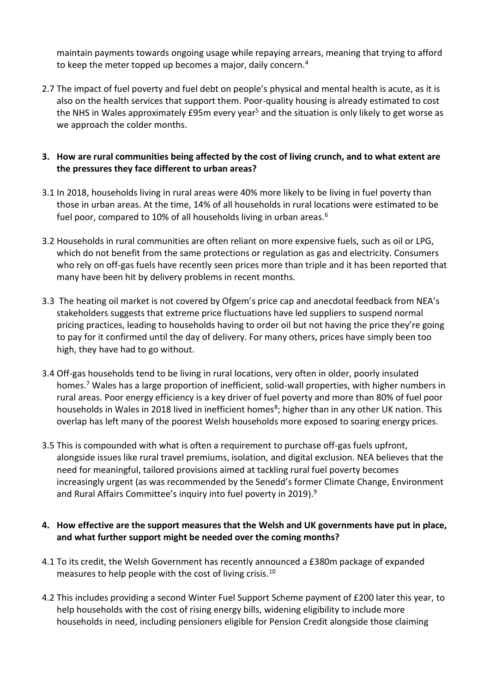maintain payments towards ongoing usage while repaying arrears, meaning that trying to afford to keep the meter topped up becomes a major, daily concern.<sup>4</sup>

2.7 The impact of fuel poverty and fuel debt on people's physical and mental health is acute, as it is also on the health services that support them. Poor-quality housing is already estimated to cost the NHS in Wales approximately £95m every year<sup>5</sup> and the situation is only likely to get worse as we approach the colder months.

# **3. How are rural communities being affected by the cost of living crunch, and to what extent are the pressures they face different to urban areas?**

- 3.1 In 2018, households living in rural areas were 40% more likely to be living in fuel poverty than those in urban areas. At the time, 14% of all households in rural locations were estimated to be fuel poor, compared to 10% of all households living in urban areas.<sup>6</sup>
- 3.2 Households in rural communities are often reliant on more expensive fuels, such as oil or LPG, which do not benefit from the same protections or regulation as gas and electricity. Consumers who rely on off-gas fuels have recently seen prices more than triple and it has been reported that many have been hit by delivery problems in recent months.
- 3.3 The heating oil market is not covered by Ofgem's price cap and anecdotal feedback from NEA's stakeholders suggests that extreme price fluctuations have led suppliers to suspend normal pricing practices, leading to households having to order oil but not having the price they're going to pay for it confirmed until the day of delivery. For many others, prices have simply been too high, they have had to go without.
- 3.4 Off-gas households tend to be living in rural locations, very often in older, poorly insulated homes.<sup>7</sup> Wales has a large proportion of inefficient, solid-wall properties, with higher numbers in rural areas. Poor energy efficiency is a key driver of fuel poverty and more than 80% of fuel poor households in Wales in 2018 lived in inefficient homes<sup>8</sup>; higher than in any other UK nation. This overlap has left many of the poorest Welsh households more exposed to soaring energy prices.
- 3.5 This is compounded with what is often a requirement to purchase off-gas fuels upfront, alongside issues like rural travel premiums, isolation, and digital exclusion. NEA believes that the need for meaningful, tailored provisions aimed at tackling rural fuel poverty becomes increasingly urgent (as was recommended by the Senedd's former Climate Change, Environment and Rural Affairs Committee's inquiry into fuel poverty in 2019).<sup>9</sup>

# **4. How effective are the support measures that the Welsh and UK governments have put in place, and what further support might be needed over the coming months?**

- 4.1 To its credit, the Welsh Government has recently announced a £380m package of expanded measures to help people with the cost of living crisis.<sup>10</sup>
- 4.2 This includes providing a second Winter Fuel Support Scheme payment of £200 later this year, to help households with the cost of rising energy bills, widening eligibility to include more households in need, including pensioners eligible for Pension Credit alongside those claiming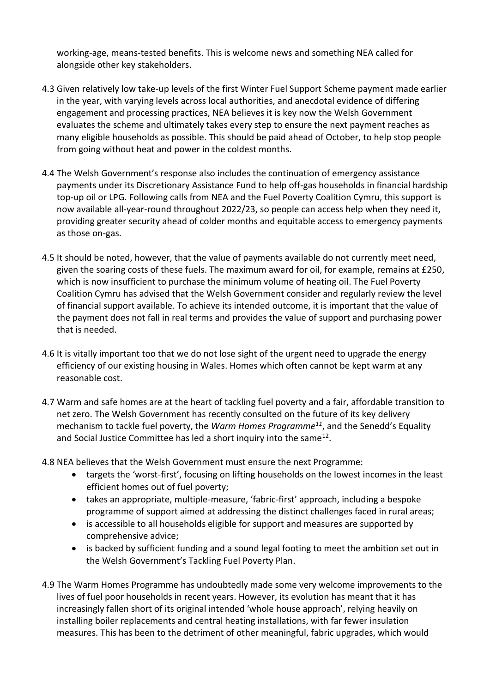working-age, means-tested benefits. This is welcome news and something NEA called for alongside other key stakeholders.

- 4.3 Given relatively low take-up levels of the first Winter Fuel Support Scheme payment made earlier in the year, with varying levels across local authorities, and anecdotal evidence of differing engagement and processing practices, NEA believes it is key now the Welsh Government evaluates the scheme and ultimately takes every step to ensure the next payment reaches as many eligible households as possible. This should be paid ahead of October, to help stop people from going without heat and power in the coldest months.
- 4.4 The Welsh Government's response also includes the continuation of emergency assistance payments under its Discretionary Assistance Fund to help off-gas households in financial hardship top-up oil or LPG. Following calls from NEA and the Fuel Poverty Coalition Cymru, this support is now available all-year-round throughout 2022/23, so people can access help when they need it, providing greater security ahead of colder months and equitable access to emergency payments as those on-gas.
- 4.5 It should be noted, however, that the value of payments available do not currently meet need, given the soaring costs of these fuels. The maximum award for oil, for example, remains at £250, which is now insufficient to purchase the minimum volume of heating oil. The Fuel Poverty Coalition Cymru has advised that the Welsh Government consider and regularly review the level of financial support available. To achieve its intended outcome, it is important that the value of the payment does not fall in real terms and provides the value of support and purchasing power that is needed.
- 4.6 It is vitally important too that we do not lose sight of the urgent need to upgrade the energy efficiency of our existing housing in Wales. Homes which often cannot be kept warm at any reasonable cost.
- 4.7 Warm and safe homes are at the heart of tackling fuel poverty and a fair, affordable transition to net zero. The Welsh Government has recently consulted on the future of its key delivery mechanism to tackle fuel poverty, the *Warm Homes Programme<sup>11</sup>*, and the Senedd's Equality and Social Justice Committee has led a short inquiry into the same<sup>12</sup>.
- 4.8 NEA believes that the Welsh Government must ensure the next Programme:
	- targets the 'worst-first', focusing on lifting households on the lowest incomes in the least efficient homes out of fuel poverty;
	- takes an appropriate, multiple-measure, 'fabric-first' approach, including a bespoke programme of support aimed at addressing the distinct challenges faced in rural areas;
	- is accessible to all households eligible for support and measures are supported by comprehensive advice;
	- is backed by sufficient funding and a sound legal footing to meet the ambition set out in the Welsh Government's Tackling Fuel Poverty Plan.
- 4.9 The Warm Homes Programme has undoubtedly made some very welcome improvements to the lives of fuel poor households in recent years. However, its evolution has meant that it has increasingly fallen short of its original intended 'whole house approach', relying heavily on installing boiler replacements and central heating installations, with far fewer insulation measures. This has been to the detriment of other meaningful, fabric upgrades, which would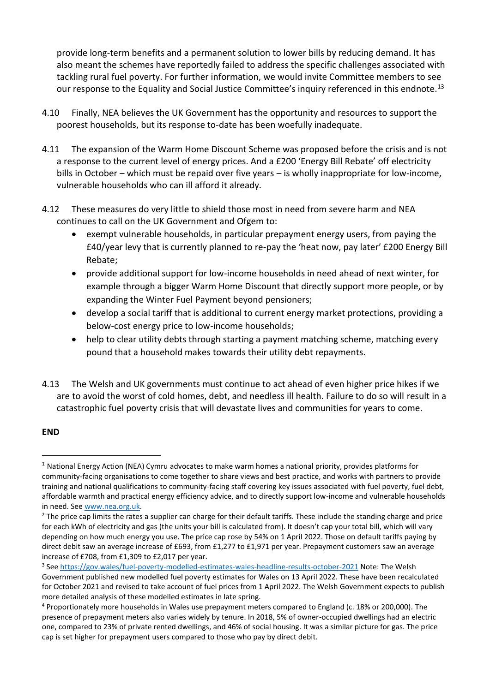provide long-term benefits and a permanent solution to lower bills by reducing demand. It has also meant the schemes have reportedly failed to address the specific challenges associated with tackling rural fuel poverty. For further information, we would invite Committee members to see our response to the Equality and Social Justice Committee's inquiry referenced in this endnote.<sup>13</sup>

- 4.10 Finally, NEA believes the UK Government has the opportunity and resources to support the poorest households, but its response to-date has been woefully inadequate.
- 4.11 The expansion of the Warm Home Discount Scheme was proposed before the crisis and is not a response to the current level of energy prices. And a £200 'Energy Bill Rebate' off electricity bills in October – which must be repaid over five years – is wholly inappropriate for low-income, vulnerable households who can ill afford it already.
- 4.12 These measures do very little to shield those most in need from severe harm and NEA continues to call on the UK Government and Ofgem to:
	- exempt vulnerable households, in particular prepayment energy users, from paying the £40/year levy that is currently planned to re-pay the 'heat now, pay later' £200 Energy Bill Rebate;
	- provide additional support for low-income households in need ahead of next winter, for example through a bigger Warm Home Discount that directly support more people, or by expanding the Winter Fuel Payment beyond pensioners;
	- develop a social tariff that is additional to current energy market protections, providing a below-cost energy price to low-income households;
	- help to clear utility debts through starting a payment matching scheme, matching every pound that a household makes towards their utility debt repayments.
- 4.13 The Welsh and UK governments must continue to act ahead of even higher price hikes if we are to avoid the worst of cold homes, debt, and needless ill health. Failure to do so will result in a catastrophic fuel poverty crisis that will devastate lives and communities for years to come.

### **END**

<sup>1</sup> National Energy Action (NEA) Cymru advocates to make warm homes a national priority, provides platforms for community-facing organisations to come together to share views and best practice, and works with partners to provide training and national qualifications to community-facing staff covering key issues associated with fuel poverty, fuel debt, affordable warmth and practical energy efficiency advice, and to directly support low-income and vulnerable households in need. See [www.nea.org.uk.](http://www.nea.org.uk/)

<sup>&</sup>lt;sup>2</sup> The price cap limits the rates a supplier can charge for their default tariffs. These include the standing charge and price for each kWh of electricity and gas (the units your bill is calculated from). It doesn't cap your total bill, which will vary depending on how much energy you use. The price cap rose by 54% on 1 April 2022. Those on default tariffs paying by direct debit saw an average increase of £693, from £1,277 to £1,971 per year. Prepayment customers saw an average increase of £708, from £1,309 to £2,017 per year.

<sup>&</sup>lt;sup>3</sup> See<https://gov.wales/fuel-poverty-modelled-estimates-wales-headline-results-october-2021> Note: The Welsh Government published new modelled fuel poverty estimates for Wales on 13 April 2022. These have been recalculated for October 2021 and revised to take account of fuel prices from 1 April 2022. The Welsh Government expects to publish more detailed analysis of these modelled estimates in late spring.

<sup>4</sup> Proportionately more households in Wales use prepayment meters compared to England (c. 18% or 200,000). The presence of prepayment meters also varies widely by tenure. In 2018, 5% of owner-occupied dwellings had an electric one, compared to 23% of private rented dwellings, and 46% of social housing. It was a similar picture for gas. The price cap is set higher for prepayment users compared to those who pay by direct debit.